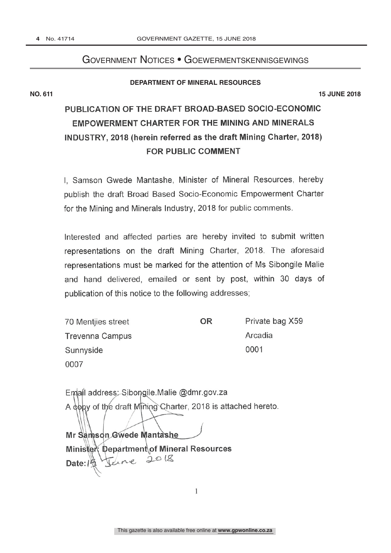## Government Notices • Goewermentskennisgewings

#### **DEPARTMENT OF MINERAL RESOURCES**

**NO. 611 15 JUNE 2018**

## PUBLICATION OF THE DRAFT BROAD-BASED SOCIO-ECONOMIC **EMPOWERMENT CHARTER FOR THE MINING AND MINERALS** INDUSTRY, 2018 (herein referred as the draft Mining Charter, 2018) FOR PUBLIC COMMENT

I. Samson Gwede Mantashe, Minister of Mineral Resources, hereby publish the draft Broad Based Socio-Economic Empowerment Charter for the Mining and Minerals Industry, 2018 for public comments.

Interested and affected parties are hereby invited to submit written representations on the draft Mining Charter, 2018. The aforesaid representations must be marked for the attention of Ms Sibongile Malie and hand delivered, emailed or sent by post, within 30 days of publication of this notice to the following addresses;

| 70 Mentijes street     | ΟR | Private bag X59 |
|------------------------|----|-----------------|
| <b>Trevenna Campus</b> |    | Arcadia         |
| Sunnyside              |    | 0001            |
| 0007                   |    |                 |

| Email address: Sibongile Malie @dmr.gov.za                   |
|--------------------------------------------------------------|
| A dopy of the draft Mining Charter, 2018 is attached hereto. |
|                                                              |
| Mr Samson Gwede Mantashe                                     |
| Minister Department of Mineral Resources                     |
| Feine 2018<br>Date: / 5                                      |

 $\mathbf{1}$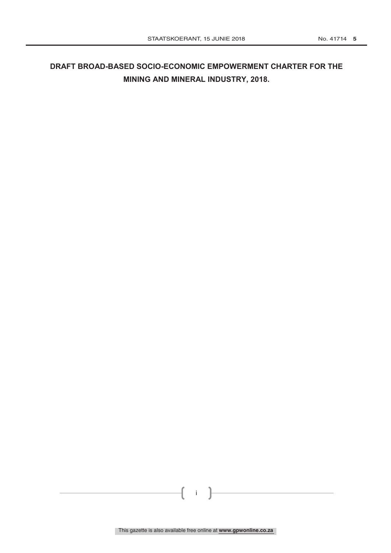## **DRAFT BROAD-BASED SOCIO-ECONOMIC EMPOWERMENT CHARTER FOR THE MINING AND MINERAL INDUSTRY, 2018.**

i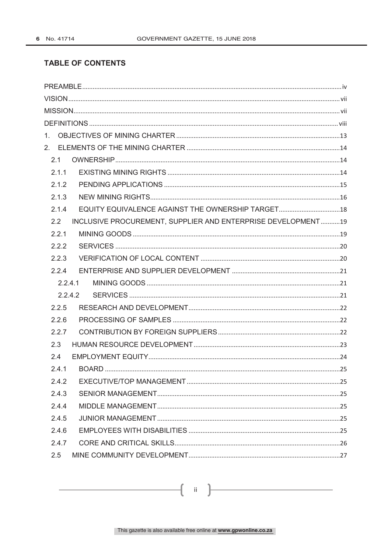### **TABLE OF CONTENTS**

| 1.                                                                  |  |
|---------------------------------------------------------------------|--|
|                                                                     |  |
| 2.1                                                                 |  |
| 2.1.1                                                               |  |
| 2.1.2                                                               |  |
| 2.1.3                                                               |  |
| EQUITY EQUIVALENCE AGAINST THE OWNERSHIP TARGET 18<br>2.1.4         |  |
| INCLUSIVE PROCUREMENT, SUPPLIER AND ENTERPRISE DEVELOPMENT19<br>2.2 |  |
| 2.2.1                                                               |  |
| 2.2.2                                                               |  |
| 2.2.3                                                               |  |
| 2.2.4                                                               |  |
| 2.2.4.1                                                             |  |
| 2.2.4.2                                                             |  |
| 2.2.5                                                               |  |
| 2.2.6                                                               |  |
| 2.2.7                                                               |  |
| 2.3                                                                 |  |
| 2.4                                                                 |  |
| 2.4.1                                                               |  |
| 2.4.2                                                               |  |
| 2.4.3                                                               |  |
| 2.4.4                                                               |  |
| 2.4.5                                                               |  |
| 2.4.6                                                               |  |
| 2.4.7                                                               |  |
| 2.5                                                                 |  |

 $\overline{\mathbf{u}}$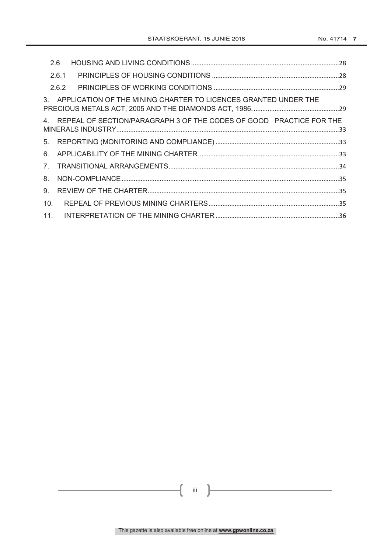|                                | 2.6   |                                                                        |  |
|--------------------------------|-------|------------------------------------------------------------------------|--|
|                                | 2.6.1 |                                                                        |  |
|                                | 2.6.2 |                                                                        |  |
|                                |       | 3. APPLICATION OF THE MINING CHARTER TO LICENCES GRANTED UNDER THE     |  |
|                                |       | 4. REPEAL OF SECTION/PARAGRAPH 3 OF THE CODES OF GOOD PRACTICE FOR THE |  |
| 5.                             |       |                                                                        |  |
| 6.                             |       |                                                                        |  |
| $7_{\scriptscriptstyle{\sim}}$ |       |                                                                        |  |
| 8.                             |       |                                                                        |  |
| 9.                             |       |                                                                        |  |
| 10.                            |       |                                                                        |  |
| 11.                            |       |                                                                        |  |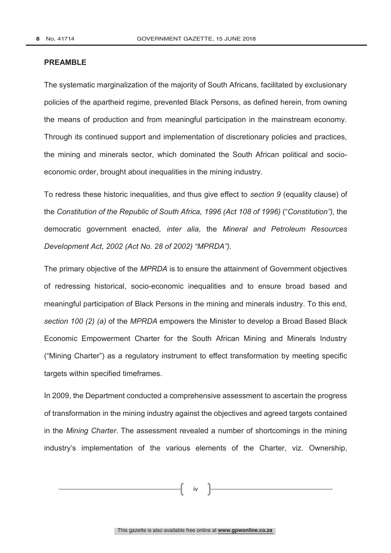#### **PREAMBLE**

The systematic marginalization of the majority of South Africans, facilitated by exclusionary policies of the apartheid regime, prevented Black Persons, as defined herein, from owning the means of production and from meaningful participation in the mainstream economy. Through its continued support and implementation of discretionary policies and practices, the mining and minerals sector, which dominated the South African political and socioeconomic order, brought about inequalities in the mining industry.

To redress these historic inequalities, and thus give effect to *section 9* (equality clause) of the *Constitution of the Republic of South Africa, 1996 (Act 108 of 1996)* ("*Constitution"),* the democratic government enacted, *inter alia*, the *Mineral and Petroleum Resources Development Act*, *2002 (Act No. 28 of 2002) "MPRDA").*

The primary objective of the *MPRDA* is to ensure the attainment of Government objectives of redressing historical, socio-economic inequalities and to ensure broad based and meaningful participation of Black Persons in the mining and minerals industry. To this end, *section 100 (2) (a)* of the *MPRDA* empowers the Minister to develop a Broad Based Black Economic Empowerment Charter for the South African Mining and Minerals Industry ("Mining Charter") as a regulatory instrument to effect transformation by meeting specific targets within specified timeframes.

In 2009, the Department conducted a comprehensive assessment to ascertain the progress of transformation in the mining industry against the objectives and agreed targets contained in the *Mining Charter*. The assessment revealed a number of shortcomings in the mining industry's implementation of the various elements of the Charter, viz. Ownership,

iv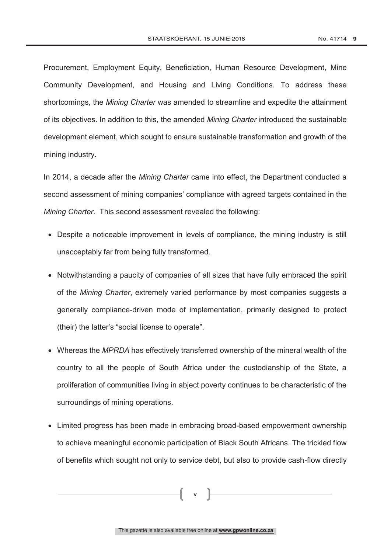Procurement, Employment Equity, Beneficiation, Human Resource Development, Mine Community Development, and Housing and Living Conditions. To address these shortcomings, the *Mining Charter* was amended to streamline and expedite the attainment of its objectives. In addition to this, the amended *Mining Charter* introduced the sustainable development element, which sought to ensure sustainable transformation and growth of the mining industry.

In 2014, a decade after the *Mining Charter* came into effect, the Department conducted a second assessment of mining companies' compliance with agreed targets contained in the *Mining Charter*. This second assessment revealed the following:

- Despite a noticeable improvement in levels of compliance, the mining industry is still unacceptably far from being fully transformed.
- Notwithstanding a paucity of companies of all sizes that have fully embraced the spirit of the *Mining Charter*, extremely varied performance by most companies suggests a generally compliance-driven mode of implementation, primarily designed to protect (their) the latter's "social license to operate".
- Whereas the *MPRDA* has effectively transferred ownership of the mineral wealth of the country to all the people of South Africa under the custodianship of the State, a proliferation of communities living in abject poverty continues to be characteristic of the surroundings of mining operations.
- Limited progress has been made in embracing broad-based empowerment ownership to achieve meaningful economic participation of Black South Africans. The trickled flow of benefits which sought not only to service debt, but also to provide cash-flow directly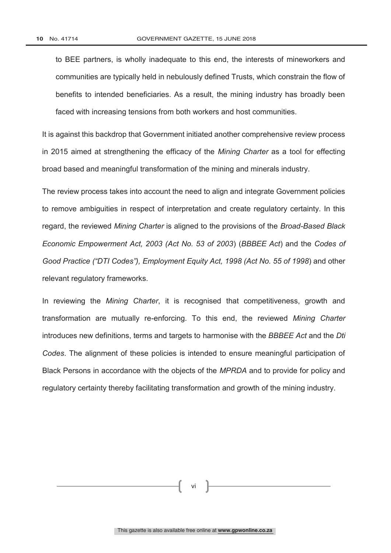to BEE partners, is wholly inadequate to this end, the interests of mineworkers and communities are typically held in nebulously defined Trusts, which constrain the flow of benefits to intended beneficiaries. As a result, the mining industry has broadly been faced with increasing tensions from both workers and host communities.

It is against this backdrop that Government initiated another comprehensive review process in 2015 aimed at strengthening the efficacy of the *Mining Charter* as a tool for effecting broad based and meaningful transformation of the mining and minerals industry.

The review process takes into account the need to align and integrate Government policies to remove ambiguities in respect of interpretation and create regulatory certainty. In this regard, the reviewed *Mining Charter* is aligned to the provisions of the *Broad-Based Black Economic Empowerment Act, 2003 (Act No. 53 of 2003*) (*BBBEE Act*) and the *Codes of Good Practice ("DTI Codes"), Employment Equity Act, 1998 (Act No. 55 of 1998*) and other relevant regulatory frameworks.

In reviewing the *Mining Charter*, it is recognised that competitiveness, growth and transformation are mutually re-enforcing. To this end, the reviewed *Mining Charter*  introduces new definitions, terms and targets to harmonise with the *BBBEE Act* and the *Dti Codes*. The alignment of these policies is intended to ensure meaningful participation of Black Persons in accordance with the objects of the *MPRDA* and to provide for policy and regulatory certainty thereby facilitating transformation and growth of the mining industry.

vi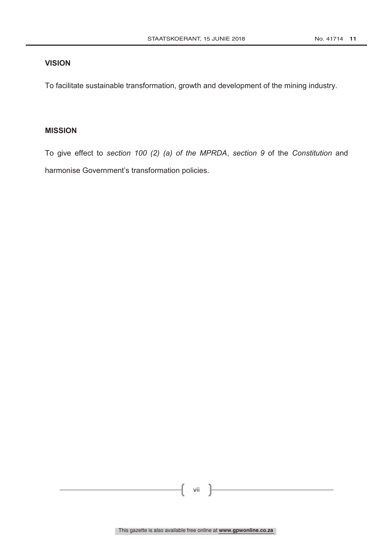### **VISION**

To facilitate sustainable transformation, growth and development of the mining industry.

### **MISSION**

To give effect to *section 100 (2) (a) of the MPRDA*, *section 9* of the *Constitution* and harmonise Government's transformation policies.

vii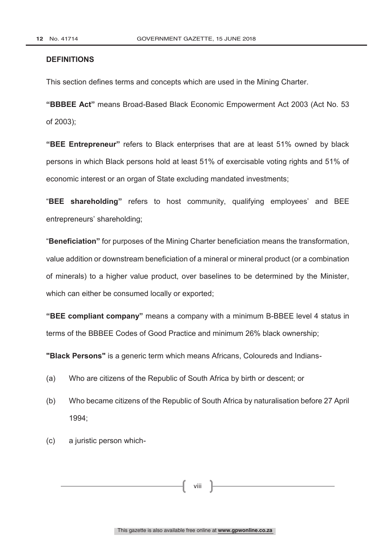#### **DEFINITIONS**

This section defines terms and concepts which are used in the Mining Charter.

**"BBBEE Act"** means Broad-Based Black Economic Empowerment Act 2003 (Act No. 53 of 2003);

**"BEE Entrepreneur"** refers to Black enterprises that are at least 51% owned by black persons in which Black persons hold at least 51% of exercisable voting rights and 51% of economic interest or an organ of State excluding mandated investments;

"**BEE shareholding"** refers to host community, qualifying employees' and BEE entrepreneurs' shareholding;

"**Beneficiation"** for purposes of the Mining Charter beneficiation means the transformation, value addition or downstream beneficiation of a mineral or mineral product (or a combination of minerals) to a higher value product, over baselines to be determined by the Minister, which can either be consumed locally or exported;

**"BEE compliant company"** means a company with a minimum B-BBEE level 4 status in terms of the BBBEE Codes of Good Practice and minimum 26% black ownership;

**"Black Persons"** is a generic term which means Africans, Coloureds and Indians-

- (a) Who are citizens of the Republic of South Africa by birth or descent; or
- (b) Who became citizens of the Republic of South Africa by naturalisation before 27 April 1994;
- (c) a juristic person which-

viii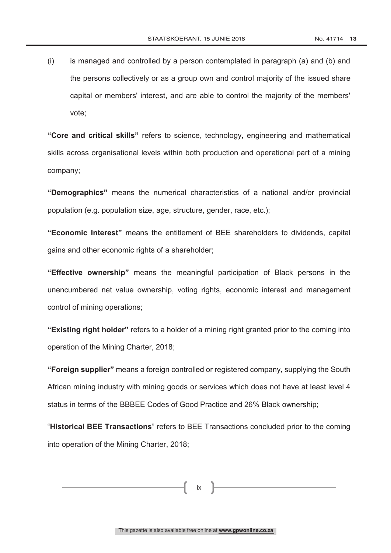(i) is managed and controlled by a person contemplated in paragraph (a) and (b) and the persons collectively or as a group own and control majority of the issued share capital or members' interest, and are able to control the majority of the members' vote;

**"Core and critical skills"** refers to science, technology, engineering and mathematical skills across organisational levels within both production and operational part of a mining company;

**"Demographics"** means the numerical characteristics of a national and/or provincial population (e.g. population size, age, structure, gender, race, etc.);

**"Economic Interest"** means the entitlement of BEE shareholders to dividends, capital gains and other economic rights of a shareholder;

**"Effective ownership"** means the meaningful participation of Black persons in the unencumbered net value ownership, voting rights, economic interest and management control of mining operations;

**"Existing right holder"** refers to a holder of a mining right granted prior to the coming into operation of the Mining Charter, 2018;

**"Foreign supplier"** means a foreign controlled or registered company, supplying the South African mining industry with mining goods or services which does not have at least level 4 status in terms of the BBBEE Codes of Good Practice and 26% Black ownership;

"**Historical BEE Transactions**" refers to BEE Transactions concluded prior to the coming into operation of the Mining Charter, 2018;

ix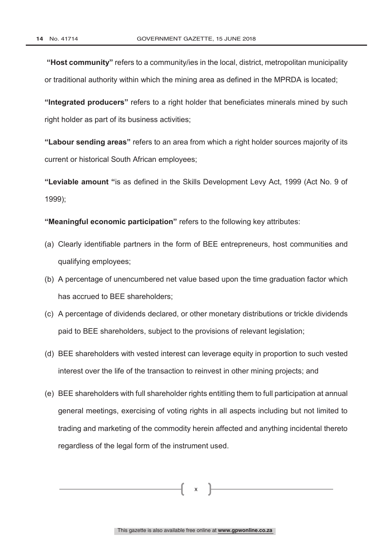**"Host community"** refers to a community/ies in the local, district, metropolitan municipality or traditional authority within which the mining area as defined in the MPRDA is located;

**"Integrated producers"** refers to a right holder that beneficiates minerals mined by such right holder as part of its business activities;

**"Labour sending areas"** refers to an area from which a right holder sources majority of its current or historical South African employees;

**"Leviable amount "**is as defined in the Skills Development Levy Act, 1999 (Act No. 9 of 1999);

**"Meaningful economic participation"** refers to the following key attributes:

- (a) Clearly identifiable partners in the form of BEE entrepreneurs, host communities and qualifying employees;
- (b) A percentage of unencumbered net value based upon the time graduation factor which has accrued to BEE shareholders;
- (c) A percentage of dividends declared, or other monetary distributions or trickle dividends paid to BEE shareholders, subject to the provisions of relevant legislation;
- (d) BEE shareholders with vested interest can leverage equity in proportion to such vested interest over the life of the transaction to reinvest in other mining projects; and
- (e) BEE shareholders with full shareholder rights entitling them to full participation at annual general meetings, exercising of voting rights in all aspects including but not limited to trading and marketing of the commodity herein affected and anything incidental thereto regardless of the legal form of the instrument used.

x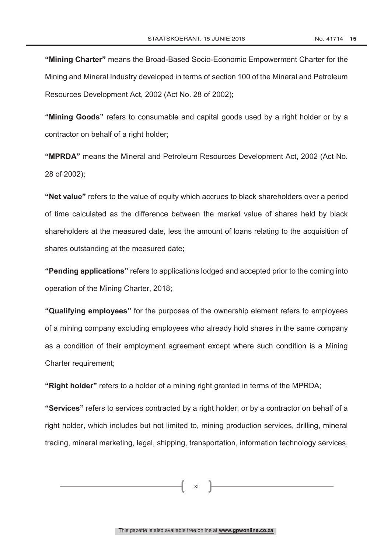**"Mining Charter"** means the Broad-Based Socio-Economic Empowerment Charter for the Mining and Mineral Industry developed in terms of section 100 of the Mineral and Petroleum Resources Development Act, 2002 (Act No. 28 of 2002);

**"Mining Goods"** refers to consumable and capital goods used by a right holder or by a contractor on behalf of a right holder;

**"MPRDA"** means the Mineral and Petroleum Resources Development Act, 2002 (Act No. 28 of 2002);

**"Net value"** refers to the value of equity which accrues to black shareholders over a period of time calculated as the difference between the market value of shares held by black shareholders at the measured date, less the amount of loans relating to the acquisition of shares outstanding at the measured date;

**"Pending applications"** refers to applications lodged and accepted prior to the coming into operation of the Mining Charter, 2018;

**"Qualifying employees"** for the purposes of the ownership element refers to employees of a mining company excluding employees who already hold shares in the same company as a condition of their employment agreement except where such condition is a Mining Charter requirement;

**"Right holder"** refers to a holder of a mining right granted in terms of the MPRDA;

**"Services"** refers to services contracted by a right holder, or by a contractor on behalf of a right holder, which includes but not limited to, mining production services, drilling, mineral trading, mineral marketing, legal, shipping, transportation, information technology services,

xi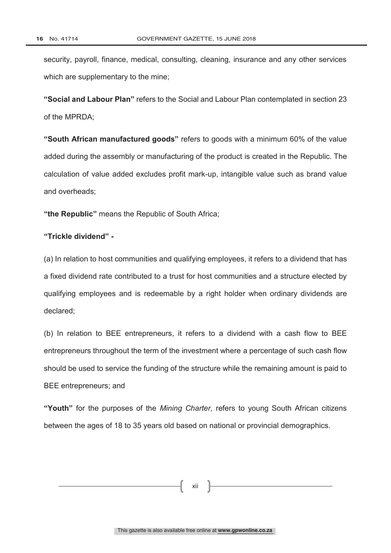security, payroll, finance, medical, consulting, cleaning, insurance and any other services which are supplementary to the mine;

**"Social and Labour Plan"** refers to the Social and Labour Plan contemplated in section 23 of the MPRDA;

**"South African manufactured goods"** refers to goods with a minimum 60% of the value added during the assembly or manufacturing of the product is created in the Republic. The calculation of value added excludes profit mark-up, intangible value such as brand value and overheads;

**"the Republic"** means the Republic of South Africa;

### **"Trickle dividend" -**

(a) In relation to host communities and qualifying employees, it refers to a dividend that has a fixed dividend rate contributed to a trust for host communities and a structure elected by qualifying employees and is redeemable by a right holder when ordinary dividends are declared;

(b) In relation to BEE entrepreneurs, it refers to a dividend with a cash flow to BEE entrepreneurs throughout the term of the investment where a percentage of such cash flow should be used to service the funding of the structure while the remaining amount is paid to BEE entrepreneurs; and

**"Youth"** for the purposes of the *Mining Charter,* refers to young South African citizens between the ages of 18 to 35 years old based on national or provincial demographics.

xii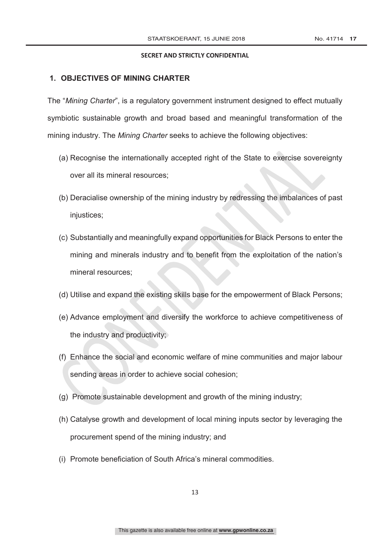#### **1. OBJECTIVES OF MINING CHARTER**

The "*Mining Charter*", is a regulatory government instrument designed to effect mutually symbiotic sustainable growth and broad based and meaningful transformation of the mining industry. The *Mining Charter* seeks to achieve the following objectives:

- (a) Recognise the internationally accepted right of the State to exercise sovereignty over all its mineral resources;
- (b) Deracialise ownership of the mining industry by redressing the imbalances of past injustices;
- (c) Substantially and meaningfully expand opportunities for Black Persons to enter the mining and minerals industry and to benefit from the exploitation of the nation's mineral resources;
- (d) Utilise and expand the existing skills base for the empowerment of Black Persons;
- (e) Advance employment and diversify the workforce to achieve competitiveness of the industry and productivity;
- (f) Enhance the social and economic welfare of mine communities and major labour sending areas in order to achieve social cohesion;
- (g) Promote sustainable development and growth of the mining industry;
- (h) Catalyse growth and development of local mining inputs sector by leveraging the procurement spend of the mining industry; and
- (i) Promote beneficiation of South Africa's mineral commodities.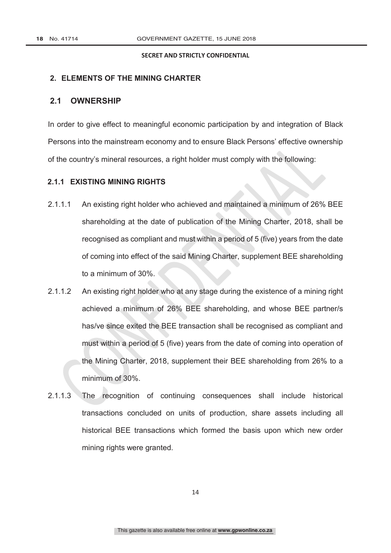### **2. ELEMENTS OF THE MINING CHARTER**

### **2.1 OWNERSHIP**

In order to give effect to meaningful economic participation by and integration of Black Persons into the mainstream economy and to ensure Black Persons' effective ownership of the country's mineral resources, a right holder must comply with the following:

### **2.1.1 EXISTING MINING RIGHTS**

- 2.1.1.1 An existing right holder who achieved and maintained a minimum of 26% BEE shareholding at the date of publication of the Mining Charter, 2018, shall be recognised as compliant and must within a period of 5 (five) years from the date of coming into effect of the said Mining Charter, supplement BEE shareholding to a minimum of 30%.
- 2.1.1.2 An existing right holder who at any stage during the existence of a mining right achieved a minimum of 26% BEE shareholding, and whose BEE partner/s has/ve since exited the BEE transaction shall be recognised as compliant and must within a period of 5 (five) years from the date of coming into operation of the Mining Charter, 2018, supplement their BEE shareholding from 26% to a minimum of 30%.
- 2.1.1.3 The recognition of continuing consequences shall include historical transactions concluded on units of production, share assets including all historical BEE transactions which formed the basis upon which new order mining rights were granted.

14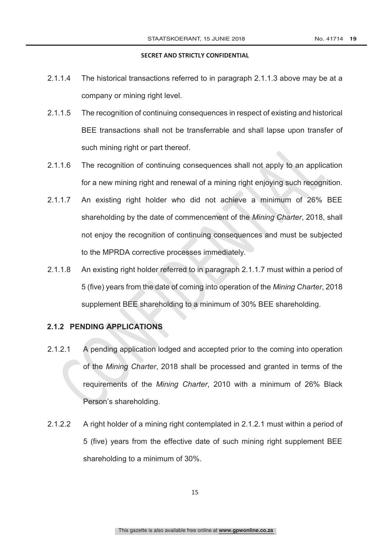- 2.1.1.4 The historical transactions referred to in paragraph 2.1.1.3 above may be at a company or mining right level.
- 2.1.1.5 The recognition of continuing consequences in respect of existing and historical BEE transactions shall not be transferrable and shall lapse upon transfer of such mining right or part thereof.
- 2.1.1.6 The recognition of continuing consequences shall not apply to an application for a new mining right and renewal of a mining right enjoying such recognition.
- 2.1.1.7 An existing right holder who did not achieve a minimum of 26% BEE shareholding by the date of commencement of the *Mining Charter*, 2018, shall not enjoy the recognition of continuing consequences and must be subjected to the MPRDA corrective processes immediately.
- 2.1.1.8 An existing right holder referred to in paragraph 2.1.1.7 must within a period of 5 (five) years from the date of coming into operation of the *Mining Charter*, 2018 supplement BEE shareholding to a minimum of 30% BEE shareholding.

### **2.1.2 PENDING APPLICATIONS**

- 2.1.2.1 A pending application lodged and accepted prior to the coming into operation of the *Mining Charter*, 2018 shall be processed and granted in terms of the requirements of the *Mining Charter*, 2010 with a minimum of 26% Black Person's shareholding.
- 2.1.2.2 A right holder of a mining right contemplated in 2.1.2.1 must within a period of 5 (five) years from the effective date of such mining right supplement BEE shareholding to a minimum of 30%.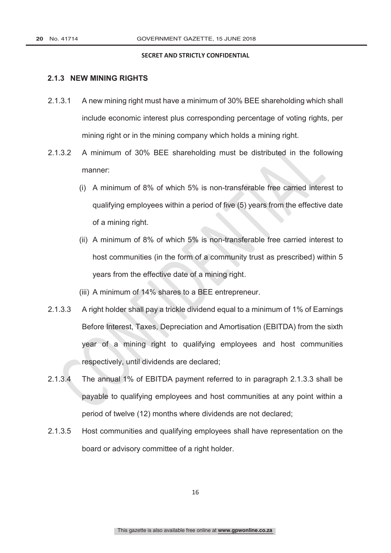### **2.1.3 NEW MINING RIGHTS**

- 2.1.3.1 A new mining right must have a minimum of 30% BEE shareholding which shall include economic interest plus corresponding percentage of voting rights, per mining right or in the mining company which holds a mining right.
- 2.1.3.2 A minimum of 30% BEE shareholding must be distributed in the following manner:
	- (i) A minimum of 8% of which 5% is non-transferable free carried interest to qualifying employees within a period of five (5) years from the effective date of a mining right.
	- (ii) A minimum of 8% of which 5% is non-transferable free carried interest to host communities (in the form of a community trust as prescribed) within 5 years from the effective date of a mining right.
	- (iii) A minimum of 14% shares to a BEE entrepreneur.
- 2.1.3.3 A right holder shall pay a trickle dividend equal to a minimum of 1% of Earnings Before Interest, Taxes, Depreciation and Amortisation (EBITDA) from the sixth year of a mining right to qualifying employees and host communities respectively, until dividends are declared;
- 2.1.3.4 The annual 1% of EBITDA payment referred to in paragraph 2.1.3.3 shall be payable to qualifying employees and host communities at any point within a period of twelve (12) months where dividends are not declared;
- 2.1.3.5 Host communities and qualifying employees shall have representation on the board or advisory committee of a right holder.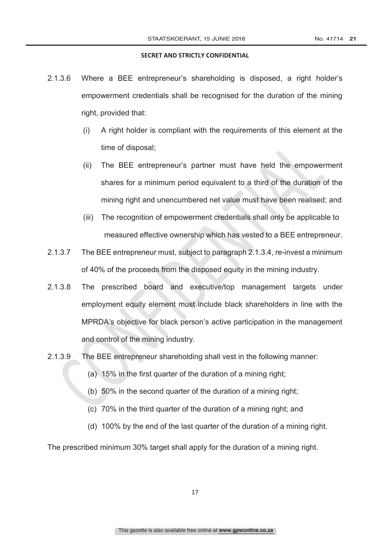- 2.1.3.6 Where a BEE entrepreneur's shareholding is disposed, a right holder's empowerment credentials shall be recognised for the duration of the mining right, provided that:
	- (i) A right holder is compliant with the requirements of this element at the time of disposal;
	- (ii) The BEE entrepreneur's partner must have held the empowerment shares for a minimum period equivalent to a third of the duration of the mining right and unencumbered net value must have been realised; and
	- (iii) The recognition of empowerment credentials shall only be applicable to measured effective ownership which has vested to a BEE entrepreneur.
- 2.1.3.7 The BEE entrepreneur must, subject to paragraph 2.1.3.4, re-invest a minimum of 40% of the proceeds from the disposed equity in the mining industry.
- 2.1.3.8 The prescribed board and executive/top management targets under employment equity element must include black shareholders in line with the MPRDA's objective for black person's active participation in the management and control of the mining industry.
- 2.1.3.9 The BEE entrepreneur shareholding shall vest in the following manner:
	- (a) 15% in the first quarter of the duration of a mining right;
	- (b) 50% in the second quarter of the duration of a mining right;
	- (c) 70% in the third quarter of the duration of a mining right; and
	- (d) 100% by the end of the last quarter of the duration of a mining right.

The prescribed minimum 30% target shall apply for the duration of a mining right.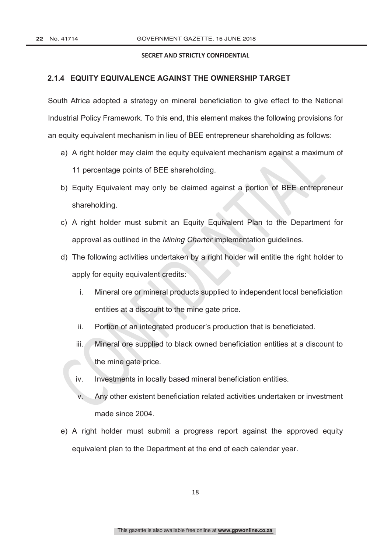### **2.1.4 EQUITY EQUIVALENCE AGAINST THE OWNERSHIP TARGET**

South Africa adopted a strategy on mineral beneficiation to give effect to the National Industrial Policy Framework. To this end, this element makes the following provisions for an equity equivalent mechanism in lieu of BEE entrepreneur shareholding as follows:

- a) A right holder may claim the equity equivalent mechanism against a maximum of 11 percentage points of BEE shareholding.
- b) Equity Equivalent may only be claimed against a portion of BEE entrepreneur shareholding.
- c) A right holder must submit an Equity Equivalent Plan to the Department for approval as outlined in the *Mining Charter* implementation guidelines.
- d) The following activities undertaken by a right holder will entitle the right holder to apply for equity equivalent credits:
	- i. Mineral ore or mineral products supplied to independent local beneficiation entities at a discount to the mine gate price.
	- ii. Portion of an integrated producer's production that is beneficiated.
	- iii. Mineral ore supplied to black owned beneficiation entities at a discount to the mine gate price.
	- iv. Investments in locally based mineral beneficiation entities.
	- v. Any other existent beneficiation related activities undertaken or investment made since 2004.
- e) A right holder must submit a progress report against the approved equity equivalent plan to the Department at the end of each calendar year.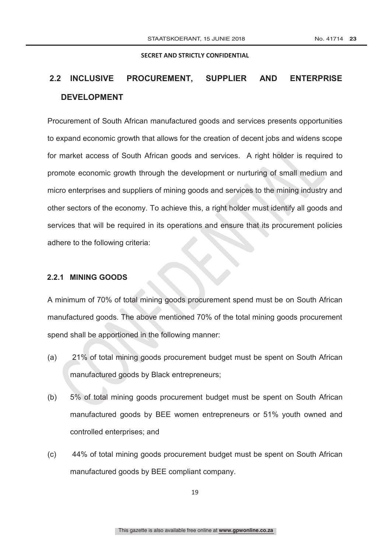## **2.2 INCLUSIVE PROCUREMENT, SUPPLIER AND ENTERPRISE DEVELOPMENT**

Procurement of South African manufactured goods and services presents opportunities to expand economic growth that allows for the creation of decent jobs and widens scope for market access of South African goods and services. A right holder is required to promote economic growth through the development or nurturing of small medium and micro enterprises and suppliers of mining goods and services to the mining industry and other sectors of the economy. To achieve this, a right holder must identify all goods and services that will be required in its operations and ensure that its procurement policies adhere to the following criteria:

### **2.2.1 MINING GOODS**

A minimum of 70% of total mining goods procurement spend must be on South African manufactured goods. The above mentioned 70% of the total mining goods procurement spend shall be apportioned in the following manner:

- (a) 21% of total mining goods procurement budget must be spent on South African manufactured goods by Black entrepreneurs;
- (b) 5% of total mining goods procurement budget must be spent on South African manufactured goods by BEE women entrepreneurs or 51% youth owned and controlled enterprises; and
- (c) 44% of total mining goods procurement budget must be spent on South African manufactured goods by BEE compliant company.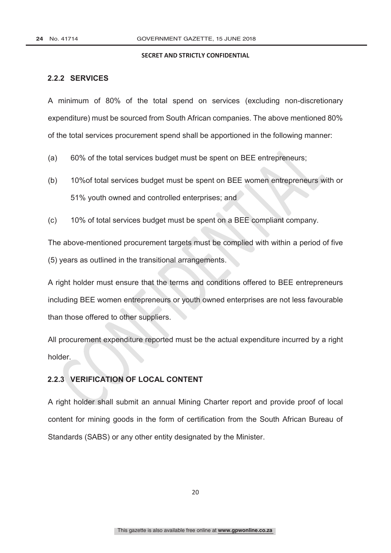### **2.2.2 SERVICES**

A minimum of 80% of the total spend on services (excluding non-discretionary expenditure) must be sourced from South African companies. The above mentioned 80% of the total services procurement spend shall be apportioned in the following manner:

- (a) 60% of the total services budget must be spent on BEE entrepreneurs;
- (b) 10%of total services budget must be spent on BEE women entrepreneurs with or 51% youth owned and controlled enterprises; and
- (c) 10% of total services budget must be spent on a BEE compliant company.

The above-mentioned procurement targets must be complied with within a period of five (5) years as outlined in the transitional arrangements.

A right holder must ensure that the terms and conditions offered to BEE entrepreneurs including BEE women entrepreneurs or youth owned enterprises are not less favourable than those offered to other suppliers.

All procurement expenditure reported must be the actual expenditure incurred by a right holder.

### **2.2.3 VERIFICATION OF LOCAL CONTENT**

A right holder shall submit an annual Mining Charter report and provide proof of local content for mining goods in the form of certification from the South African Bureau of Standards (SABS) or any other entity designated by the Minister.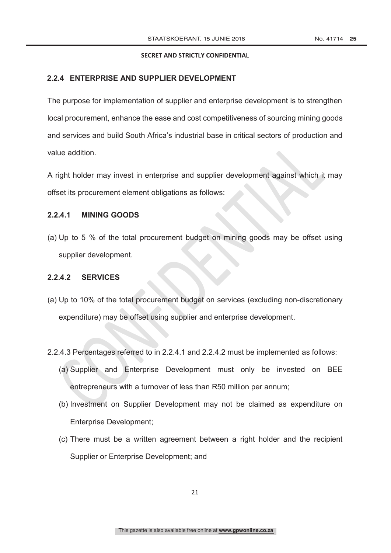### **2.2.4 ENTERPRISE AND SUPPLIER DEVELOPMENT**

The purpose for implementation of supplier and enterprise development is to strengthen local procurement, enhance the ease and cost competitiveness of sourcing mining goods and services and build South Africa's industrial base in critical sectors of production and value addition.

A right holder may invest in enterprise and supplier development against which it may offset its procurement element obligations as follows:

### **2.2.4.1 MINING GOODS**

(a) Up to 5 % of the total procurement budget on mining goods may be offset using supplier development.

### **2.2.4.2 SERVICES**

- (a) Up to 10% of the total procurement budget on services (excluding non-discretionary expenditure) may be offset using supplier and enterprise development.
- 2.2.4.3 Percentages referred to in 2.2.4.1 and 2.2.4.2 must be implemented as follows:
	- (a) Supplier and Enterprise Development must only be invested on BEE entrepreneurs with a turnover of less than R50 million per annum;
	- (b) Investment on Supplier Development may not be claimed as expenditure on Enterprise Development;
	- (c) There must be a written agreement between a right holder and the recipient Supplier or Enterprise Development; and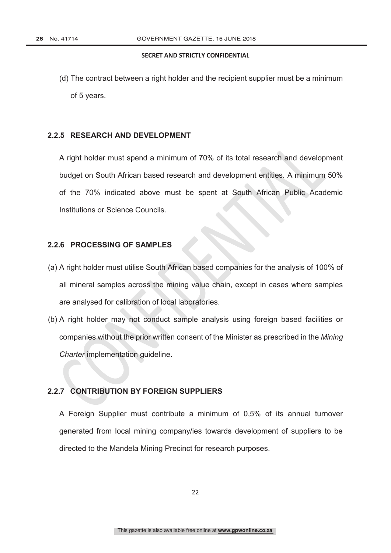(d) The contract between a right holder and the recipient supplier must be a minimum of 5 years.

### **2.2.5 RESEARCH AND DEVELOPMENT**

A right holder must spend a minimum of 70% of its total research and development budget on South African based research and development entities. A minimum 50% of the 70% indicated above must be spent at South African Public Academic Institutions or Science Councils.

### **2.2.6 PROCESSING OF SAMPLES**

- (a) A right holder must utilise South African based companies for the analysis of 100% of all mineral samples across the mining value chain, except in cases where samples are analysed for calibration of local laboratories.
- (b) A right holder may not conduct sample analysis using foreign based facilities or companies without the prior written consent of the Minister as prescribed in the *Mining Charter* implementation guideline.

### **2.2.7 CONTRIBUTION BY FOREIGN SUPPLIERS**

A Foreign Supplier must contribute a minimum of 0,5% of its annual turnover generated from local mining company/ies towards development of suppliers to be directed to the Mandela Mining Precinct for research purposes.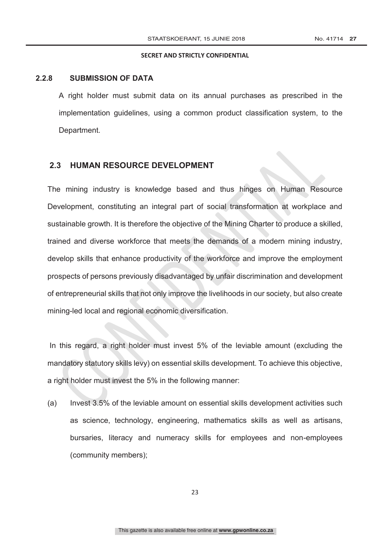### **2.2.8 SUBMISSION OF DATA**

A right holder must submit data on its annual purchases as prescribed in the implementation guidelines, using a common product classification system, to the Department.

### **2.3 HUMAN RESOURCE DEVELOPMENT**

The mining industry is knowledge based and thus hinges on Human Resource Development, constituting an integral part of social transformation at workplace and sustainable growth. It is therefore the objective of the Mining Charter to produce a skilled, trained and diverse workforce that meets the demands of a modern mining industry, develop skills that enhance productivity of the workforce and improve the employment prospects of persons previously disadvantaged by unfair discrimination and development of entrepreneurial skills that not only improve the livelihoods in our society, but also create mining-led local and regional economic diversification.

In this regard, a right holder must invest 5% of the leviable amount (excluding the mandatory statutory skills levy) on essential skills development. To achieve this objective, a right holder must invest the 5% in the following manner:

(a) Invest 3.5% of the leviable amount on essential skills development activities such as science, technology, engineering, mathematics skills as well as artisans, bursaries, literacy and numeracy skills for employees and non-employees (community members);

23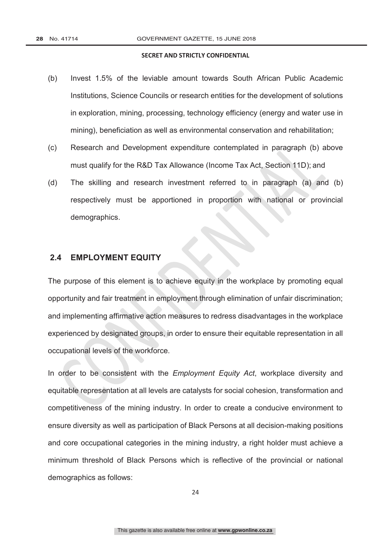- (b) Invest 1.5% of the leviable amount towards South African Public Academic Institutions, Science Councils or research entities for the development of solutions in exploration, mining, processing, technology efficiency (energy and water use in mining), beneficiation as well as environmental conservation and rehabilitation;
- (c) Research and Development expenditure contemplated in paragraph (b) above must qualify for the R&D Tax Allowance (Income Tax Act, Section 11D); and
- (d) The skilling and research investment referred to in paragraph (a) and (b) respectively must be apportioned in proportion with national or provincial demographics.

### **2.4 EMPLOYMENT EQUITY**

The purpose of this element is to achieve equity in the workplace by promoting equal opportunity and fair treatment in employment through elimination of unfair discrimination; and implementing affirmative action measures to redress disadvantages in the workplace experienced by designated groups, in order to ensure their equitable representation in all occupational levels of the workforce.

In order to be consistent with the *Employment Equity Act*, workplace diversity and equitable representation at all levels are catalysts for social cohesion, transformation and competitiveness of the mining industry. In order to create a conducive environment to ensure diversity as well as participation of Black Persons at all decision-making positions and core occupational categories in the mining industry, a right holder must achieve a minimum threshold of Black Persons which is reflective of the provincial or national demographics as follows: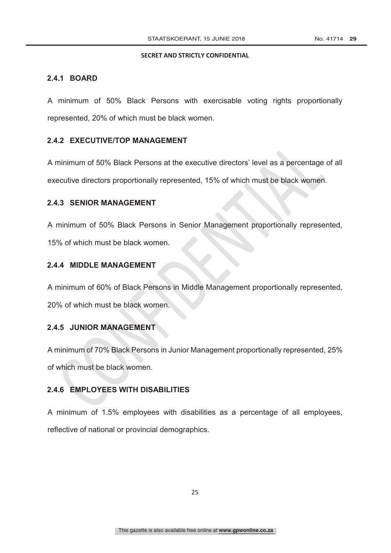### **2.4.1 BOARD**

A minimum of 50% Black Persons with exercisable voting rights proportionally represented, 20% of which must be black women.

### **2.4.2 EXECUTIVE/TOP MANAGEMENT**

A minimum of 50% Black Persons at the executive directors' level as a percentage of all executive directors proportionally represented, 15% of which must be black women.

#### **2.4.3 SENIOR MANAGEMENT**

A minimum of 50% Black Persons in Senior Management proportionally represented, 15% of which must be black women.

### **2.4.4 MIDDLE MANAGEMENT**

A minimum of 60% of Black Persons in Middle Management proportionally represented, 20% of which must be black women.

### **2.4.5 JUNIOR MANAGEMENT**

A minimum of 70% Black Persons in Junior Management proportionally represented, 25% of which must be black women.

### **2.4.6 EMPLOYEES WITH DISABILITIES**

A minimum of 1.5% employees with disabilities as a percentage of all employees, reflective of national or provincial demographics.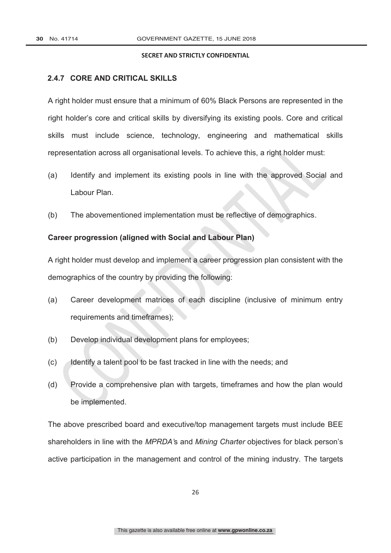### **2.4.7 CORE AND CRITICAL SKILLS**

A right holder must ensure that a minimum of 60% Black Persons are represented in the right holder's core and critical skills by diversifying its existing pools. Core and critical skills must include science, technology, engineering and mathematical skills representation across all organisational levels. To achieve this, a right holder must:

- (a) Identify and implement its existing pools in line with the approved Social and Labour Plan.
- (b) The abovementioned implementation must be reflective of demographics.

### **Career progression (aligned with Social and Labour Plan)**

A right holder must develop and implement a career progression plan consistent with the demographics of the country by providing the following:

- (a) Career development matrices of each discipline (inclusive of minimum entry requirements and timeframes);
- (b) Develop individual development plans for employees;
- (c) Identify a talent pool to be fast tracked in line with the needs; and
- (d) Provide a comprehensive plan with targets, timeframes and how the plan would be implemented.

The above prescribed board and executive/top management targets must include BEE shareholders in line with the *MPRDA'*s and *Mining Charter* objectives for black person's active participation in the management and control of the mining industry. The targets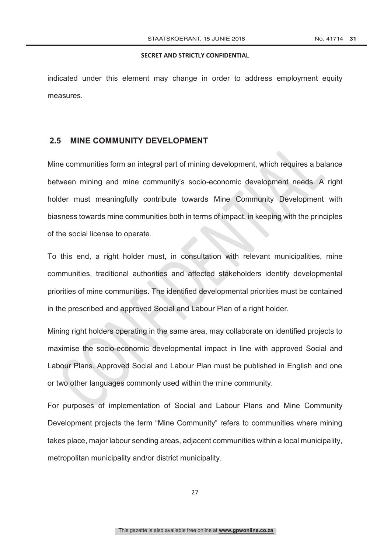indicated under this element may change in order to address employment equity measures.

### **2.5 MINE COMMUNITY DEVELOPMENT**

Mine communities form an integral part of mining development, which requires a balance between mining and mine community's socio-economic development needs. A right holder must meaningfully contribute towards Mine Community Development with biasness towards mine communities both in terms of impact, in keeping with the principles of the social license to operate.

To this end, a right holder must, in consultation with relevant municipalities, mine communities, traditional authorities and affected stakeholders identify developmental priorities of mine communities. The identified developmental priorities must be contained in the prescribed and approved Social and Labour Plan of a right holder.

Mining right holders operating in the same area, may collaborate on identified projects to maximise the socio-economic developmental impact in line with approved Social and Labour Plans. Approved Social and Labour Plan must be published in English and one or two other languages commonly used within the mine community.

For purposes of implementation of Social and Labour Plans and Mine Community Development projects the term "Mine Community" refers to communities where mining takes place, major labour sending areas, adjacent communities within a local municipality, metropolitan municipality and/or district municipality.

27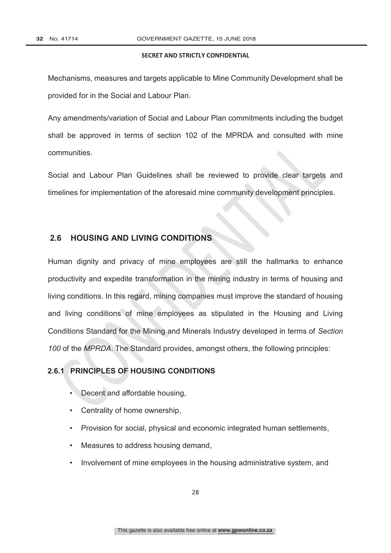Mechanisms, measures and targets applicable to Mine Community Development shall be provided for in the Social and Labour Plan.

Any amendments/variation of Social and Labour Plan commitments including the budget shall be approved in terms of section 102 of the MPRDA and consulted with mine communities.

Social and Labour Plan Guidelines shall be reviewed to provide clear targets and timelines for implementation of the aforesaid mine community development principles.

### **2.6 HOUSING AND LIVING CONDITIONS**

Human dignity and privacy of mine employees are still the hallmarks to enhance productivity and expedite transformation in the mining industry in terms of housing and living conditions. In this regard, mining companies must improve the standard of housing and living conditions of mine employees as stipulated in the Housing and Living Conditions Standard for the Mining and Minerals Industry developed in terms of *Section 100* of the *MPRDA*. The Standard provides, amongst others, the following principles:

### **2.6.1 PRINCIPLES OF HOUSING CONDITIONS**

- Decent and affordable housing,
- Centrality of home ownership,
- Provision for social, physical and economic integrated human settlements,
- Measures to address housing demand,
- Involvement of mine employees in the housing administrative system, and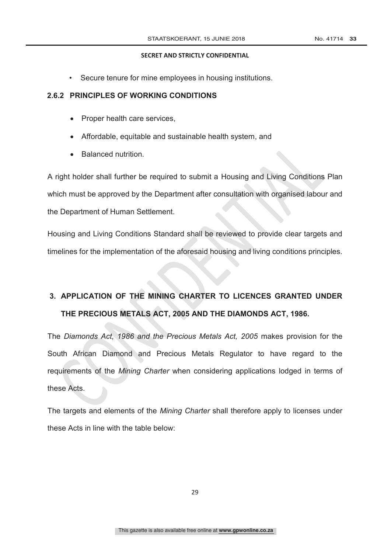• Secure tenure for mine employees in housing institutions.

### **2.6.2 PRINCIPLES OF WORKING CONDITIONS**

- Proper health care services,
- Affordable, equitable and sustainable health system, and
- Balanced nutrition.

A right holder shall further be required to submit a Housing and Living Conditions Plan which must be approved by the Department after consultation with organised labour and the Department of Human Settlement.

Housing and Living Conditions Standard shall be reviewed to provide clear targets and timelines for the implementation of the aforesaid housing and living conditions principles.

## **3. APPLICATION OF THE MINING CHARTER TO LICENCES GRANTED UNDER THE PRECIOUS METALS ACT, 2005 AND THE DIAMONDS ACT, 1986.**

The *Diamonds Act, 1986 and the Precious Metals Act, 2005* makes provision for the South African Diamond and Precious Metals Regulator to have regard to the requirements of the *Mining Charter* when considering applications lodged in terms of these Acts.

The targets and elements of the *Mining Charter* shall therefore apply to licenses under these Acts in line with the table below: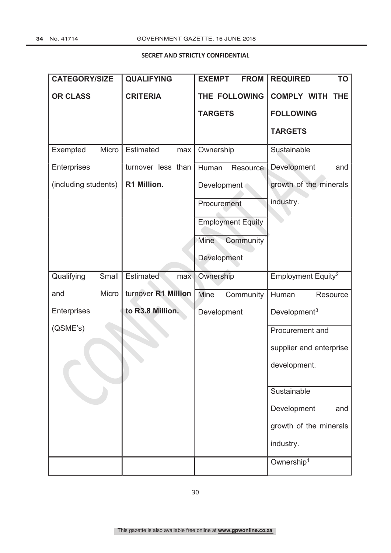| <b>CATEGORY/SIZE</b> | <b>QUALIFYING</b>       | <b>FROM</b><br><b>EXEMPT</b> | <b>REQUIRED</b><br><b>TO</b>     |  |
|----------------------|-------------------------|------------------------------|----------------------------------|--|
| <b>OR CLASS</b>      | <b>CRITERIA</b>         | THE FOLLOWING                | <b>COMPLY WITH</b><br><b>THE</b> |  |
|                      |                         | <b>TARGETS</b>               | <b>FOLLOWING</b>                 |  |
|                      |                         |                              | <b>TARGETS</b>                   |  |
| Exempted<br>Micro    | Estimated<br>max        | Ownership                    | Sustainable                      |  |
| Enterprises          | turnover less than      | Human<br>Resource            | Development<br>and               |  |
| (including students) | R1 Million.             | Development                  | growth of the minerals           |  |
|                      |                         | Procurement                  | industry.                        |  |
|                      |                         | <b>Employment Equity</b>     |                                  |  |
|                      |                         | Community<br>Mine            |                                  |  |
|                      |                         | Development                  |                                  |  |
| Qualifying<br>Small  | <b>Estimated</b><br>max | Ownership                    | Employment Equity <sup>2</sup>   |  |
| Micro<br>and         | turnover R1 Million     | Mine<br>Community            | Human<br>Resource                |  |
| Enterprises          | to R3.8 Million.        | Development                  | Development <sup>3</sup>         |  |
| (QSME's)             |                         |                              | Procurement and                  |  |
|                      |                         |                              | supplier and enterprise          |  |
|                      |                         |                              | development.                     |  |
|                      |                         |                              | Sustainable                      |  |
|                      |                         |                              | Development<br>and               |  |
|                      |                         |                              |                                  |  |
|                      |                         |                              | growth of the minerals           |  |
|                      |                         |                              | industry.                        |  |
|                      |                         |                              | Ownership <sup>1</sup>           |  |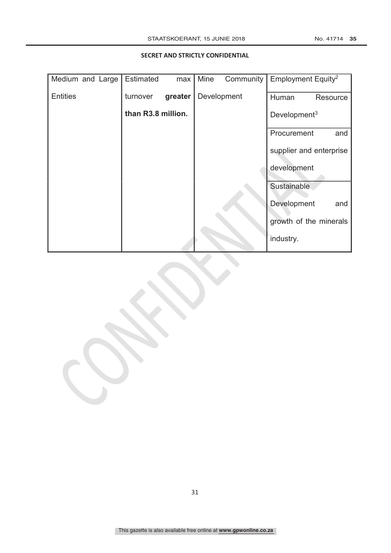| Medium and Large | Estimated          | max     | Mine | Community   | Employment Equity <sup>2</sup> |          |
|------------------|--------------------|---------|------|-------------|--------------------------------|----------|
| <b>Entities</b>  | turnover           | greater |      | Development | Human                          | Resource |
|                  | than R3.8 million. |         |      |             | Development <sup>3</sup>       |          |
|                  |                    |         |      |             | Procurement                    | and      |
|                  |                    |         |      |             | supplier and enterprise        |          |
|                  |                    |         |      |             | development                    |          |
|                  |                    |         |      |             | Sustainable                    |          |
|                  |                    |         |      |             | Development                    | and      |
|                  |                    |         |      |             | growth of the minerals         |          |
|                  |                    |         |      |             | industry.                      |          |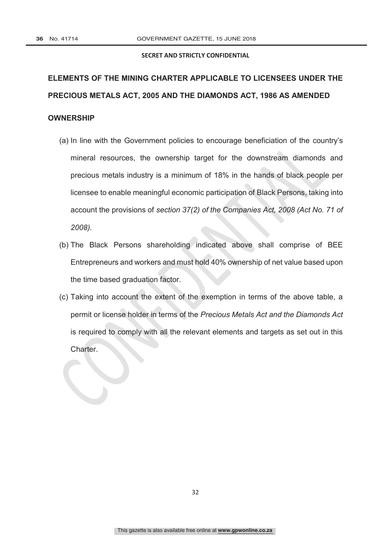# **ELEMENTS OF THE MINING CHARTER APPLICABLE TO LICENSEES UNDER THE PRECIOUS METALS ACT, 2005 AND THE DIAMONDS ACT, 1986 AS AMENDED**

### **OWNERSHIP**

- (a) In line with the Government policies to encourage beneficiation of the country's mineral resources, the ownership target for the downstream diamonds and precious metals industry is a minimum of 18% in the hands of black people per licensee to enable meaningful economic participation of Black Persons, taking into account the provisions of *section 37(2) of the Companies Act, 2008 (Act No. 71 of 2008).*
- (b) The Black Persons shareholding indicated above shall comprise of BEE Entrepreneurs and workers and must hold 40% ownership of net value based upon the time based graduation factor.
- (c) Taking into account the extent of the exemption in terms of the above table, a permit or license holder in terms of the *Precious Metals Act and the Diamonds Act* is required to comply with all the relevant elements and targets as set out in this Charter.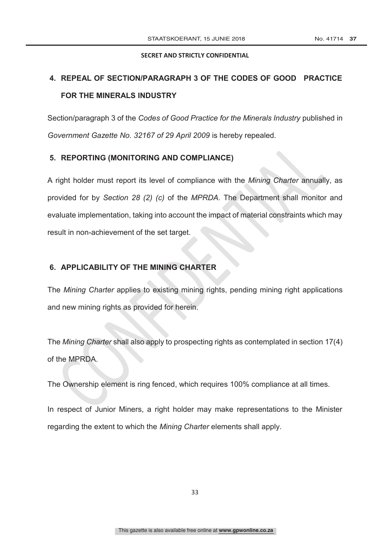## **4. REPEAL OF SECTION/PARAGRAPH 3 OF THE CODES OF GOOD PRACTICE FOR THE MINERALS INDUSTRY**

Section/paragraph 3 of the *Codes of Good Practice for the Minerals Industry* published in *Government Gazette No. 32167 of 29 April 2009* is hereby repealed.

### **5. REPORTING (MONITORING AND COMPLIANCE)**

A right holder must report its level of compliance with the *Mining Charter* annually, as provided for by *Section 28 (2) (c)* of the *MPRDA.* The Department shall monitor and evaluate implementation, taking into account the impact of material constraints which may result in non-achievement of the set target.

### **6. APPLICABILITY OF THE MINING CHARTER**

The *Mining Charter* applies to existing mining rights, pending mining right applications and new mining rights as provided for herein.

The *Mining Charter* shall also apply to prospecting rights as contemplated in section 17(4) of the MPRDA.

The Ownership element is ring fenced, which requires 100% compliance at all times.

In respect of Junior Miners, a right holder may make representations to the Minister regarding the extent to which the *Mining Charter* elements shall apply.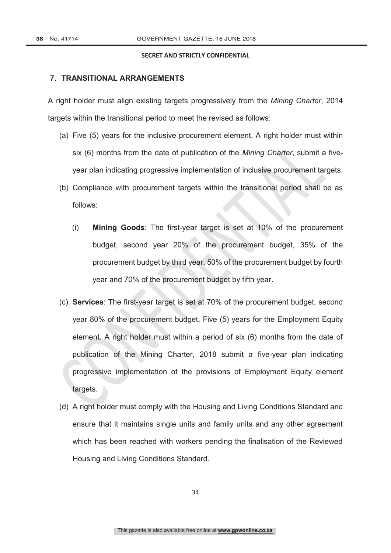### **7. TRANSITIONAL ARRANGEMENTS**

A right holder must align existing targets progressively from the *Mining Charter*, 2014 targets within the transitional period to meet the revised as follows:

- (a) Five (5) years for the inclusive procurement element. A right holder must within six (6) months from the date of publication of the *Mining Charter*, submit a fiveyear plan indicating progressive implementation of inclusive procurement targets.
- (b) Compliance with procurement targets within the transitional period shall be as follows:
	- (i) **Mining Goods**: The first-year target is set at 10% of the procurement budget, second year 20% of the procurement budget, 35% of the procurement budget by third year, 50% of the procurement budget by fourth year and 70% of the procurement budget by fifth year.
- (c) **Services**: The first-year target is set at 70% of the procurement budget, second year 80% of the procurement budget. Five (5) years for the Employment Equity element. A right holder must within a period of six (6) months from the date of publication of the Mining Charter, 2018 submit a five-year plan indicating progressive implementation of the provisions of Employment Equity element targets.
- (d) A right holder must comply with the Housing and Living Conditions Standard and ensure that it maintains single units and family units and any other agreement which has been reached with workers pending the finalisation of the Reviewed Housing and Living Conditions Standard.

34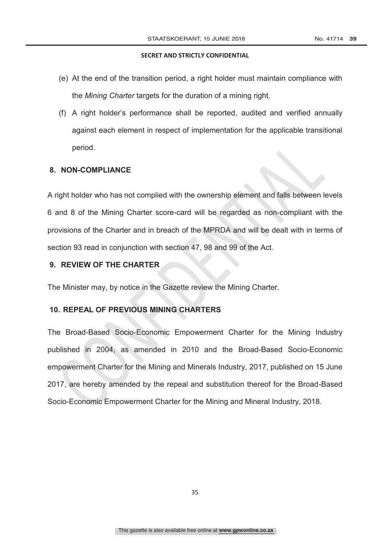- (e) At the end of the transition period, a right holder must maintain compliance with the *Mining Charter* targets for the duration of a mining right.
- (f) A right holder's performance shall be reported, audited and verified annually against each element in respect of implementation for the applicable transitional period.

### **8. NON-COMPLIANCE**

A right holder who has not complied with the ownership element and falls between levels 6 and 8 of the Mining Charter score-card will be regarded as non-compliant with the provisions of the Charter and in breach of the MPRDA and will be dealt with in terms of section 93 read in conjunction with section 47, 98 and 99 of the Act.

### **9. REVIEW OF THE CHARTER**

The Minister may, by notice in the Gazette review the Mining Charter.

### **10. REPEAL OF PREVIOUS MINING CHARTERS**

The Broad-Based Socio-Economic Empowerment Charter for the Mining Industry published in 2004, as amended in 2010 and the Broad-Based Socio-Economic empowerment Charter for the Mining and Minerals Industry, 2017, published on 15 June 2017, are hereby amended by the repeal and substitution thereof for the Broad-Based Socio-Economic Empowerment Charter for the Mining and Mineral Industry, 2018.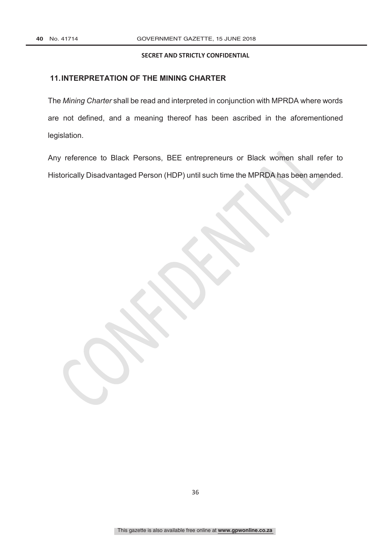### **11.INTERPRETATION OF THE MINING CHARTER**

The *Mining Charter* shall be read and interpreted in conjunction with MPRDA where words are not defined, and a meaning thereof has been ascribed in the aforementioned legislation.

Any reference to Black Persons, BEE entrepreneurs or Black women shall refer to Historically Disadvantaged Person (HDP) until such time the MPRDA has been amended.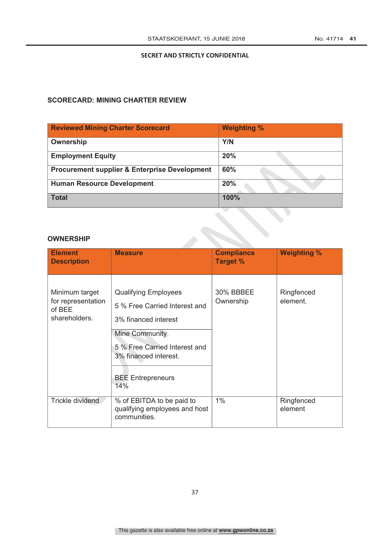### **SCORECARD: MINING CHARTER REVIEW**

| <b>Reviewed Mining Charter Scorecard</b>                 | <b>Weighting %</b> |
|----------------------------------------------------------|--------------------|
| Ownership                                                | Y/N                |
| <b>Employment Equity</b>                                 | 20%                |
| <b>Procurement supplier &amp; Enterprise Development</b> | 60%                |
| <b>Human Resource Development</b>                        | 20%                |
| <b>Total</b>                                             | 100%               |

### **OWNERSHIP**

| <b>Element</b><br><b>Description</b>                            | <b>Measure</b>                                                                                                                                                                                      | <b>Compliance</b><br><b>Target %</b> | <b>Weighting %</b>     |
|-----------------------------------------------------------------|-----------------------------------------------------------------------------------------------------------------------------------------------------------------------------------------------------|--------------------------------------|------------------------|
| Minimum target<br>for representation<br>of BEE<br>shareholders. | <b>Qualifying Employees</b><br>5 % Free Carried Interest and<br>3% financed interest<br>Mine Community<br>5 % Free Carried Interest and<br>3% financed interest.<br><b>BEE Entrepreneurs</b><br>14% | 30% BBBEE<br>Ownership               | Ringfenced<br>element. |
| Trickle dividend                                                | % of EBITDA to be paid to<br>qualifying employees and host<br>communities.                                                                                                                          | $1\%$                                | Ringfenced<br>element  |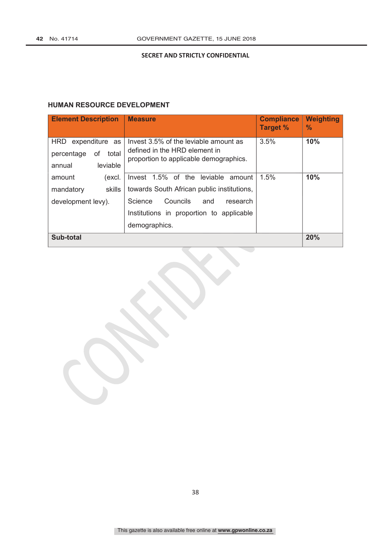### **HUMAN RESOURCE DEVELOPMENT**

| <b>Element Description</b>                                                      | <b>Measure</b>                                                                                                   | <b>Compliance</b><br><b>Target %</b> | <b>Weighting</b><br>$\frac{9}{6}$ |
|---------------------------------------------------------------------------------|------------------------------------------------------------------------------------------------------------------|--------------------------------------|-----------------------------------|
| <b>HRD</b><br>expenditure as<br>percentage<br>οf<br>total<br>leviable<br>annual | Invest 3.5% of the leviable amount as<br>defined in the HRD element in<br>proportion to applicable demographics. | 3.5%                                 | 10%                               |
| amount<br>(excl.                                                                | Invest 1.5% of the<br>leviable<br>amount                                                                         | 1.5%                                 | 10%                               |
| skills<br>mandatory                                                             | towards South African public institutions,                                                                       |                                      |                                   |
| development levy).                                                              | Councils<br>Science<br>and<br>research<br>Institutions in proportion to applicable<br>demographics.              |                                      |                                   |
| Sub-total                                                                       |                                                                                                                  |                                      | 20%                               |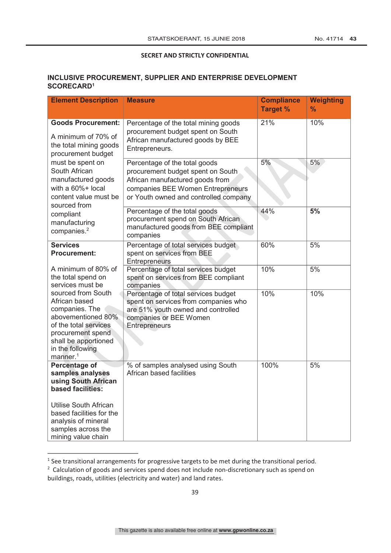### **INCLUSIVE PROCUREMENT, SUPPLIER AND ENTERPRISE DEVELOPMENT SCORECARD1**

| <b>Element Description</b>                                                                                                                                                                                | <b>Measure</b>                                                                                                                                                                      | <b>Compliance</b><br><b>Target %</b> | <b>Weighting</b><br>$\%$ |
|-----------------------------------------------------------------------------------------------------------------------------------------------------------------------------------------------------------|-------------------------------------------------------------------------------------------------------------------------------------------------------------------------------------|--------------------------------------|--------------------------|
| <b>Goods Procurement:</b><br>A minimum of 70% of<br>the total mining goods<br>procurement budget<br>must be spent on<br>South African<br>manufactured goods<br>with a 60%+ local<br>content value must be | Percentage of the total mining goods<br>procurement budget spent on South<br>African manufactured goods by BEE<br>Entrepreneurs.                                                    | 21%                                  | 10%                      |
|                                                                                                                                                                                                           | Percentage of the total goods<br>procurement budget spent on South<br>African manufactured goods from<br>companies BEE Women Entrepreneurs<br>or Youth owned and controlled company | 5%                                   | 5%                       |
| sourced from<br>compliant<br>manufacturing<br>companies. <sup>2</sup>                                                                                                                                     | Percentage of the total goods<br>procurement spend on South African<br>manufactured goods from BEE compliant<br>companies                                                           | 44%                                  | 5%                       |
| <b>Services</b><br><b>Procurement:</b>                                                                                                                                                                    | Percentage of total services budget<br>spent on services from BEE<br>Entrepreneurs                                                                                                  | 60%                                  | 5%                       |
| A minimum of 80% of<br>the total spend on<br>services must be                                                                                                                                             | Percentage of total services budget<br>spent on services from BEE compliant<br>companies                                                                                            | 10%                                  | 5%                       |
| sourced from South<br>African based<br>companies. The<br>abovementioned 80%<br>of the total services<br>procurement spend<br>shall be apportioned<br>in the following<br>manner. <sup>1</sup>             | Percentage of total services budget<br>spent on services from companies who<br>are 51% youth owned and controlled<br>companies or BEE Women<br>Entrepreneurs                        | 10%                                  | 10%                      |
| Percentage of<br>samples analyses<br>using South African<br>based facilities:                                                                                                                             | % of samples analysed using South<br>African based facilities                                                                                                                       | 100%                                 | 5%                       |
| Utilise South African<br>based facilities for the<br>analysis of mineral<br>samples across the<br>mining value chain                                                                                      |                                                                                                                                                                                     |                                      |                          |

<sup>&</sup>lt;sup>1</sup> See transitional arrangements for progressive targets to be met during the transitional period.  $2$  Calculation of goods and services spend does not include non-discretionary such as spend on buildings, roads, utilities (electricity and water) and land rates.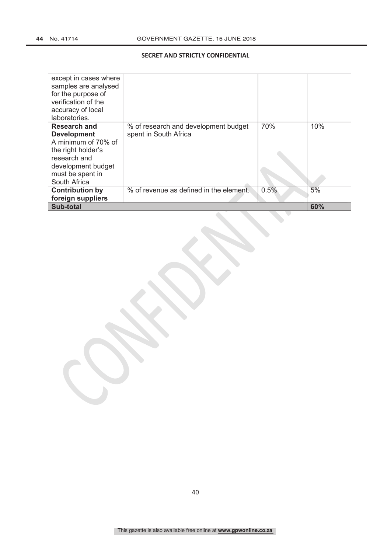| except in cases where<br>samples are analysed<br>for the purpose of<br>verification of the<br>accuracy of local<br>laboratories.                                 |                                                               |      |     |
|------------------------------------------------------------------------------------------------------------------------------------------------------------------|---------------------------------------------------------------|------|-----|
| <b>Research and</b><br><b>Development</b><br>A minimum of 70% of<br>the right holder's<br>research and<br>development budget<br>must be spent in<br>South Africa | % of research and development budget<br>spent in South Africa | 70%  | 10% |
| <b>Contribution by</b><br>foreign suppliers                                                                                                                      | % of revenue as defined in the element.                       | 0.5% | 5%  |
| Sub-total                                                                                                                                                        |                                                               |      | 60% |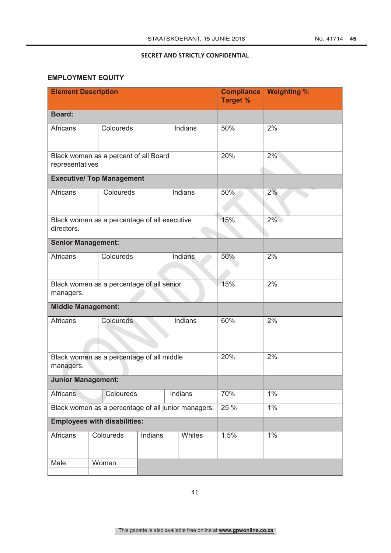### **EMPLOYMENT EQUITY**

| <b>Element Description</b>                          |                                              |         |         | <b>Compliance</b><br><b>Target %</b> | <b>Weighting %</b> |
|-----------------------------------------------------|----------------------------------------------|---------|---------|--------------------------------------|--------------------|
| <b>Board:</b>                                       |                                              |         |         |                                      |                    |
| <b>Africans</b>                                     | Coloureds                                    |         | Indians | 50%                                  | 2%                 |
| representatives                                     | Black women as a percent of all Board        |         | 20%     | 2%                                   |                    |
|                                                     | <b>Executive/ Top Management</b>             |         |         |                                      |                    |
| <b>Africans</b>                                     | Indians<br>Coloureds                         |         |         | 50%                                  | 2%                 |
| directors.                                          | Black women as a percentage of all executive |         |         | 15%                                  | $2\%$              |
| <b>Senior Management:</b>                           |                                              |         |         |                                      |                    |
| <b>Africans</b><br>Coloureds<br>Indians             |                                              |         | 50%     | 2%                                   |                    |
| managers.                                           | Black women as a percentage of all senior    |         |         | 15%                                  | 2%                 |
| <b>Middle Management:</b>                           |                                              |         |         |                                      |                    |
| <b>Africans</b>                                     | Indians<br>Coloureds                         |         | 60%     | 2%                                   |                    |
| managers.                                           | Black women as a percentage of all middle    |         |         | 20%                                  | 2%                 |
| <b>Junior Management:</b>                           |                                              |         |         |                                      |                    |
| <b>Africans</b><br>Coloureds<br>Indians             |                                              | 70%     | 1%      |                                      |                    |
| Black women as a percentage of all junior managers. |                                              |         |         | 25 %                                 | $1\%$              |
| <b>Employees with disabilities:</b>                 |                                              |         |         |                                      |                    |
| Africans                                            | Coloureds                                    | Indians | Whites  | 1,5%                                 | $1\%$              |
| Male                                                | Women                                        |         |         |                                      |                    |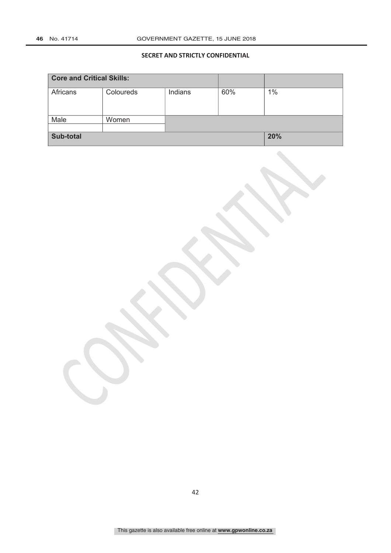| <b>Core and Critical Skills:</b> |           |         |     |     |
|----------------------------------|-----------|---------|-----|-----|
| Africans                         | Coloureds | Indians | 60% | 1%  |
|                                  |           |         |     |     |
| Male                             | Women     |         |     |     |
|                                  |           |         |     |     |
| Sub-total                        |           |         |     | 20% |